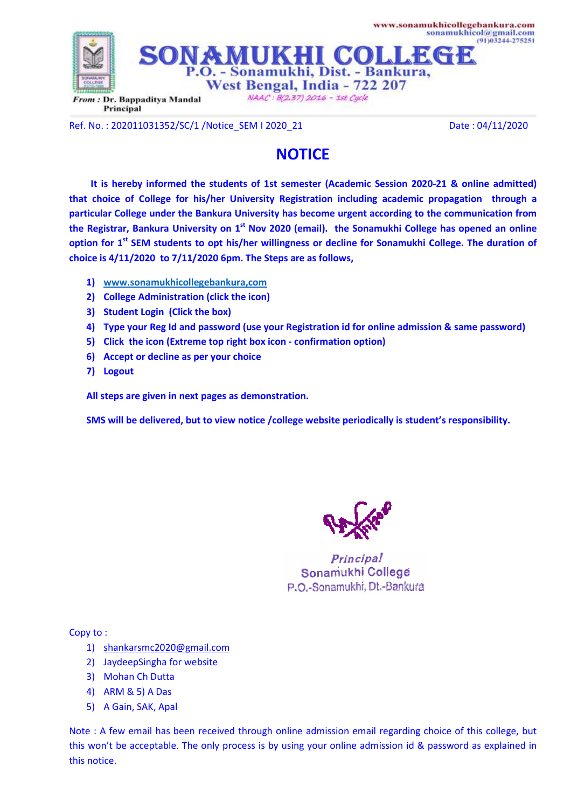

Ref. No. : 202011031352/SC/1 /Notice SEM I 2020 21 Date : 04/11/2020

#### **NOTICE**

 **It is hereby informed the students of 1st semester (Academic Session 2020-21 & online admitted) that choice of College for his/her University Registration including academic propagation through a particular College under the Bankura University has become urgent according to the communication from the Registrar, Bankura University on 1st Nov 2020 (email). the Sonamukhi College has opened an online option for 1st SEM students to opt his/her willingness or decline for Sonamukhi College. The duration of choice is 4/11/2020 to 7/11/2020 6pm. The Steps are as follows,** 

- **1) www.sonamukhicollegebankura,com**
- **2) College Administration (click the icon)**
- **3) Student Login (Click the box)**
- **4) Type your Reg Id and password (use your Registration id for online admission & same password)**
- **5) Click the icon (Extreme top right box icon confirmation option)**
- **6) Accept or decline as per your choice**
- **7) Logout**

**All steps are given in next pages as demonstration.**

**SMS will be delivered, but to view notice /college website periodically is student's responsibility.** 



Principal Sonamukhi College P.O.-Sonamukhi, Dt.-Bankura

Copy to :

- 1) shankarsmc2020@gmail.com
- 2) JaydeepSingha for website
- 3) Mohan Ch Dutta
- 4) ARM & 5) A Das
- 5) A Gain, SAK, Apal

Note : A few email has been received through online admission email regarding choice of this college, but this won't be acceptable. The only process is by using your online admission id & password as explained in this notice.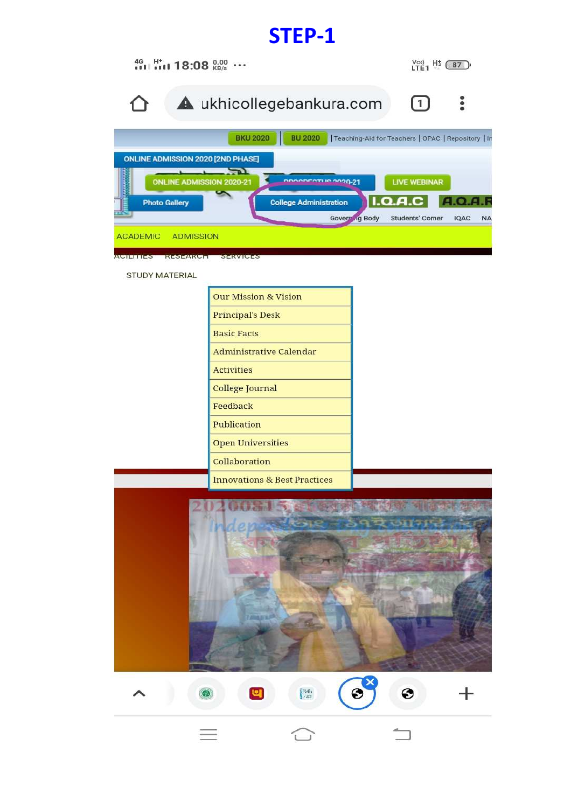| $^{46}_{111}$ $^{14}_{111}$ 18:08 $^{0.00}_{KB/s}$ |                                   |                                                    | $V_{0}^{(0)}$ H <sub>2</sub> (87) |                                     |
|----------------------------------------------------|-----------------------------------|----------------------------------------------------|-----------------------------------|-------------------------------------|
|                                                    | A ukhicollegebankura.com          |                                                    | $[1]$                             |                                     |
|                                                    | <b>BKU 2020</b><br><b>BU 2020</b> | Teaching-Aid for Teachers   OPAC   Repository   In |                                   |                                     |
| <b>ONLINE ADMISSION 2020 [2ND PHASE]</b>           |                                   |                                                    |                                   |                                     |
| <b>ONLINE ADMISSION 2020-21</b>                    | Ē<br>$0020 - 21$                  |                                                    | <b>LIVE WEBINAR</b>               |                                     |
| <b>Photo Gallery</b>                               | <b>College Administration</b>     | LQ.A.C<br>Governing Body                           | <b>Students' Corner</b>           | 4.O.A.R<br><b>IQAC</b><br><b>NA</b> |
| <b>ACADEMIC</b><br><b>ADMISSION</b>                |                                   |                                                    |                                   |                                     |
| FUILITIES<br><b>KESEARCH</b>                       | SERVICES                          |                                                    |                                   |                                     |
| <b>STUDY MATERIAL</b>                              |                                   |                                                    |                                   |                                     |
|                                                    | <b>Our Mission &amp; Vision</b>   |                                                    |                                   |                                     |
|                                                    | <b>Principal's Desk</b>           |                                                    |                                   |                                     |

**Basic Facts** 

**Activities** 

Feedback

Publication

College Journal

Administrative Calendar



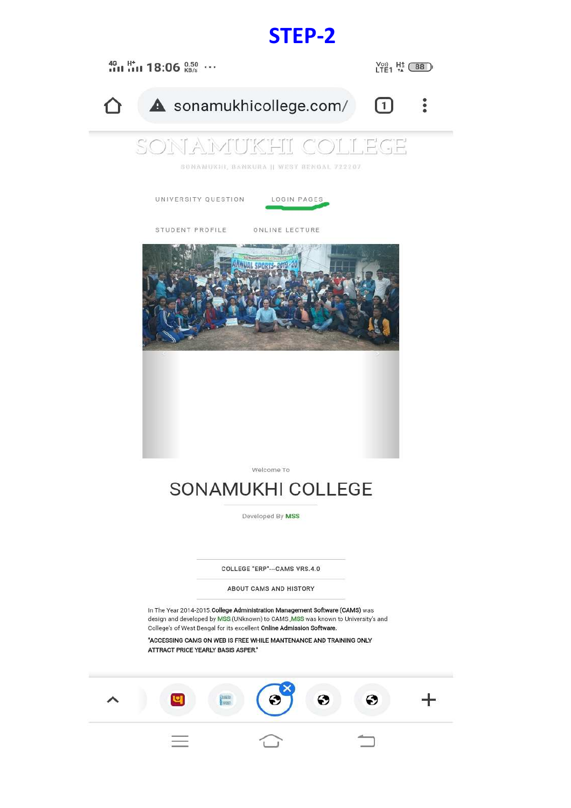

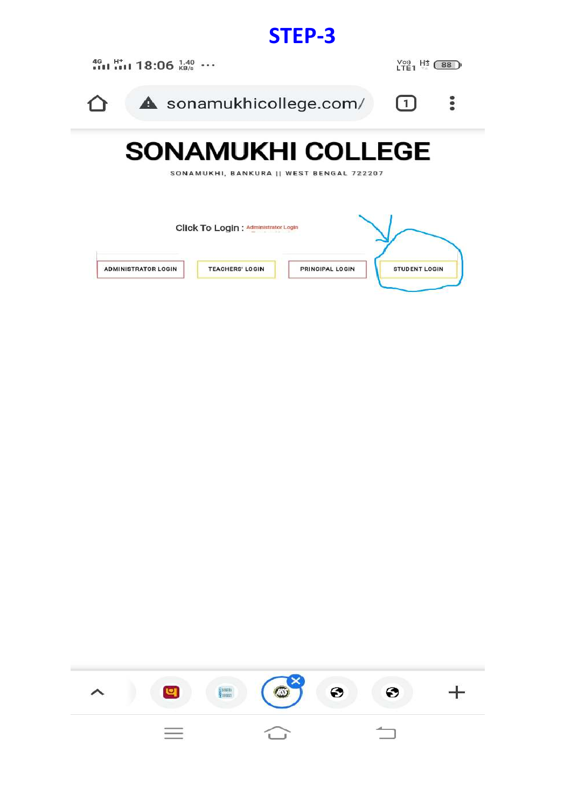

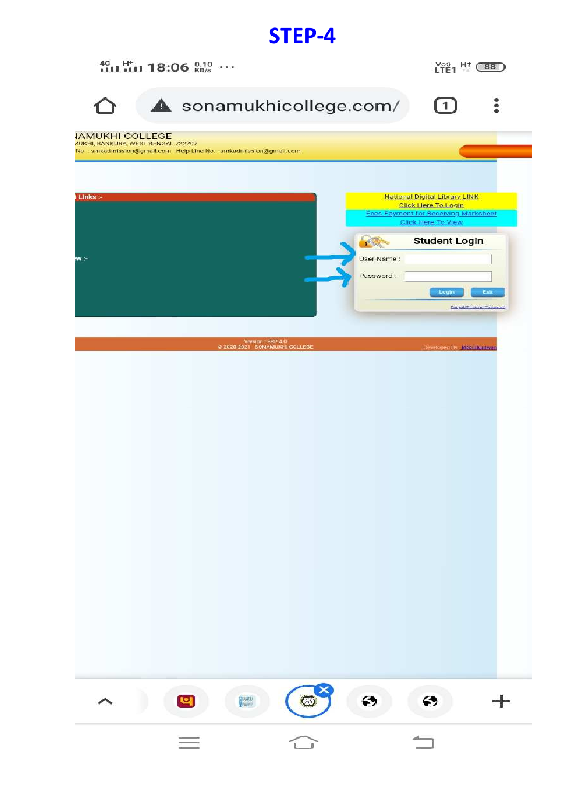$^{46}_{111}$   $^{14}_{111}$  18:06  $^{0.10}_{RBS}$   $\cdots$ 

 $LTE1$   $H2$   $(88)$ 

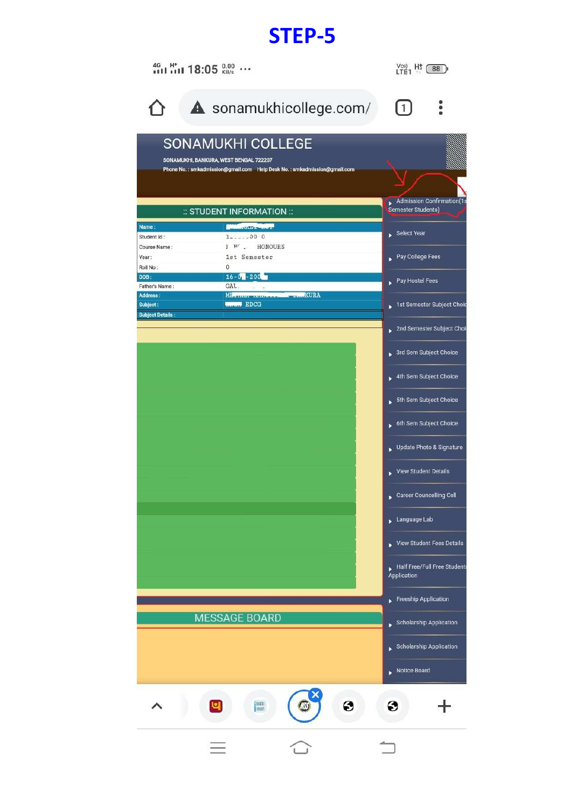$^{46}_{111}$   $^{11}_{111}$  18:05  $^{0.00}_{88/8}$   $\cdots$ 

 $\frac{V(0)}{1 T F 1}$  H<sub>1</sub> (88)

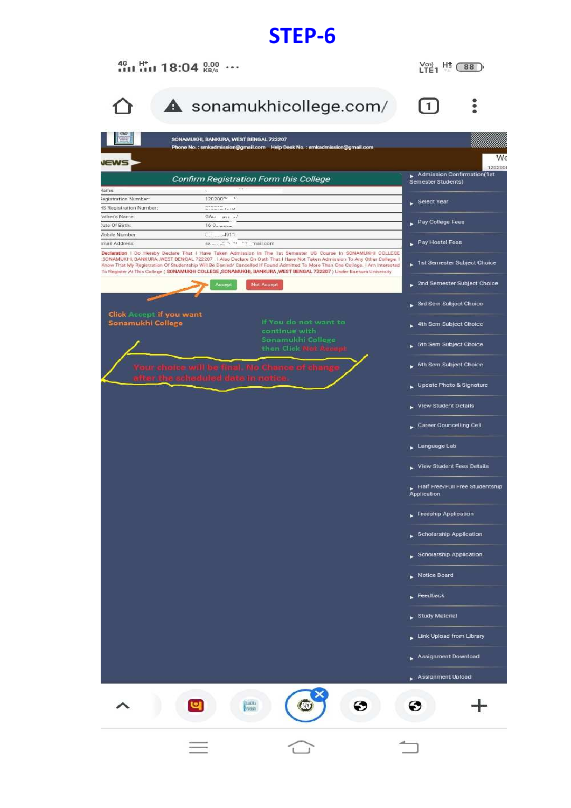$^{46}_{111}$   $^{11}_{111}$  18:04  $^{0.00}_{10.00}$   $\cdots$ 

 $V_{\text{C2}}^{(0)}$  H<sub>2</sub> (88)

 $\sqrt{1}$ 

 $\bullet \bullet \bullet$ 

A sonamukhicollege.com/ ⌒